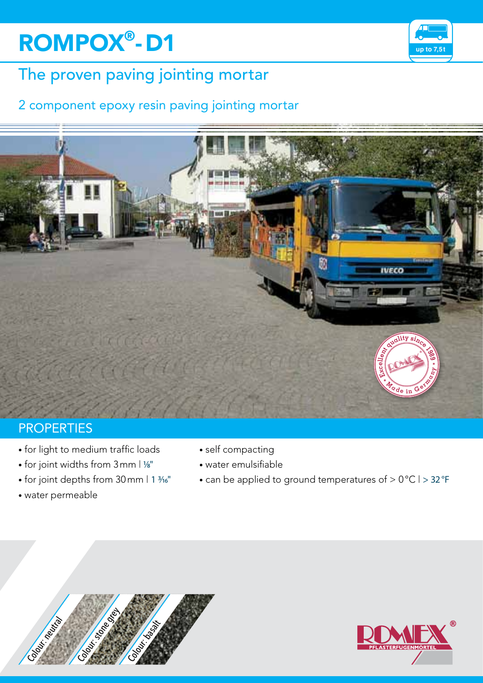# **ROMPOX<sup>®</sup>-D1 by the ROMPOX<sup>®</sup>-D1**



# The proven paving jointing mortar

## 2 component epoxy resin paving jointing mortar



### **PROPERTIES**

- for light to medium traffic loads
- $\bullet$  for joint widths from  $3$ mm  $1\frac{1}{8}$ "
- for joint depths from 30 mm | 1 3/16"
- water permeable
- self compacting
- water emulsifiable
- can be applied to ground temperatures of > 0°C | > 32°F